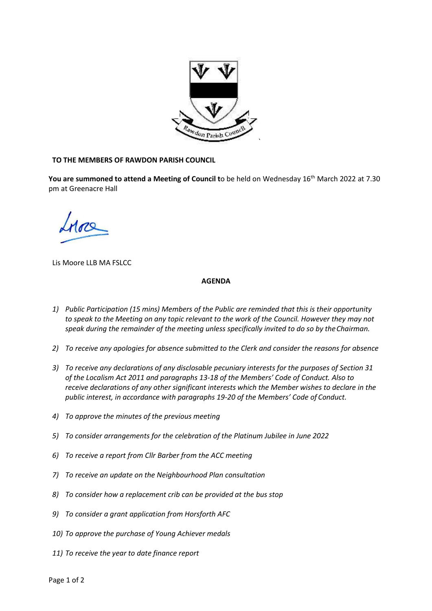

## **TO THE MEMBERS OF RAWDON PARISH COUNCIL**

You are summoned to attend a Meeting of Council to be held on Wednesday 16<sup>th</sup> March 2022 at 7.30 pm at Greenacre Hall

Lis Moore LLB MA FSLCC

## **AGENDA**

- *1) Public Participation (15 mins) Members of the Public are reminded that this is their opportunity to speak to the Meeting on any topic relevant to the work of the Council. However they may not speak during the remainder of the meeting unless specifically invited to do so by theChairman.*
- *2) To receive any apologies for absence submitted to the Clerk and consider the reasons for absence*
- *3) To receive any declarations of any disclosable pecuniary interests for the purposes of Section 31 of the Localism Act 2011 and paragraphs 13-18 of the Members' Code of Conduct. Also to receive declarations of any other significant interests which the Member wishes to declare in the public interest, in accordance with paragraphs 19-20 of the Members' Code of Conduct.*
- *4) To approve the minutes of the previous meeting*
- *5) To consider arrangements for the celebration of the Platinum Jubilee in June 2022*
- *6) To receive a report from Cllr Barber from the ACC meeting*
- *7) To receive an update on the Neighbourhood Plan consultation*
- *8) To consider how a replacement crib can be provided at the bus stop*
- *9) To consider a grant application from Horsforth AFC*
- *10) To approve the purchase of Young Achiever medals*
- *11) To receive the year to date finance report*